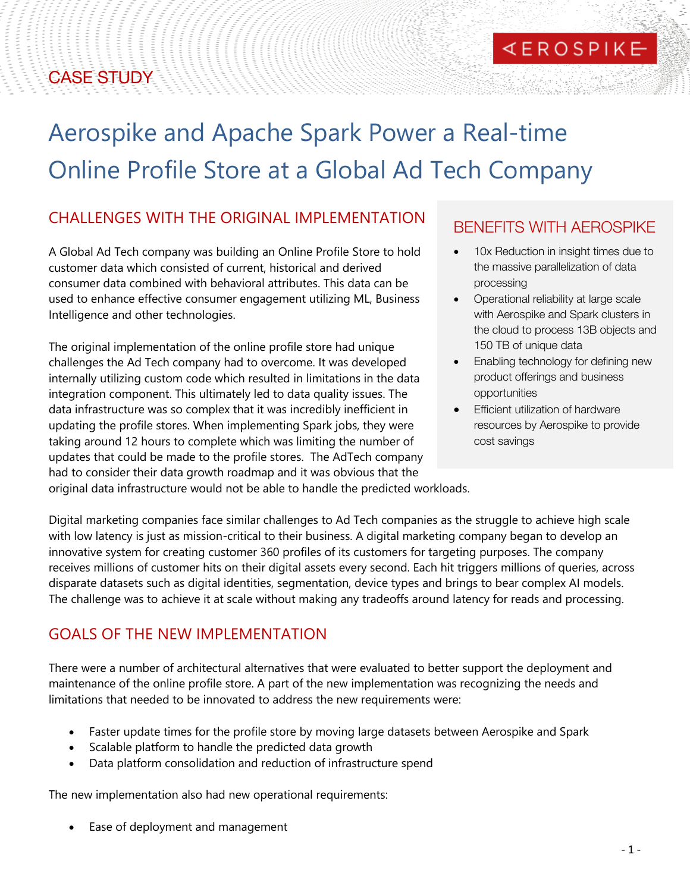## CASE STUDY

# Aerospike and Apache Spark Power a Real-time Online Profile Store at a Global Ad Tech Company

#### CHALLENGES WITH THE ORIGINAL IMPLEMENTATION

A Global Ad Tech company was building an Online Profile Store to hold customer data which consisted of current, historical and derived consumer data combined with behavioral attributes. This data can be used to enhance effective consumer engagement utilizing ML, Business Intelligence and other technologies.

The original implementation of the online profile store had unique challenges the Ad Tech company had to overcome. It was developed internally utilizing custom code which resulted in limitations in the data integration component. This ultimately led to data quality issues. The data infrastructure was so complex that it was incredibly inefficient in updating the profile stores. When implementing Spark jobs, they were taking around 12 hours to complete which was limiting the number of updates that could be made to the profile stores. The AdTech company had to consider their data growth roadmap and it was obvious that the

### BENEFITS WITH AEROSPIKE

**KEROSPIKE** 

- 10x Reduction in insight times due to the massive parallelization of data processing
- Operational reliability at large scale with Aerospike and Spark clusters in the cloud to process 13B objects and 150 TB of unique data
- Enabling technology for defining new product offerings and business opportunities
- Efficient utilization of hardware resources by Aerospike to provide cost savings

original data infrastructure would not be able to handle the predicted workloads.

Digital marketing companies face similar challenges to Ad Tech companies as the struggle to achieve high scale with low latency is just as mission-critical to their business. A digital marketing company began to develop an innovative system for creating customer 360 profiles of its customers for targeting purposes. The company receives millions of customer hits on their digital assets every second. Each hit triggers millions of queries, across disparate datasets such as digital identities, segmentation, device types and brings to bear complex AI models. The challenge was to achieve it at scale without making any tradeoffs around latency for reads and processing.

#### GOALS OF THE NEW IMPLEMENTATION

There were a number of architectural alternatives that were evaluated to better support the deployment and maintenance of the online profile store. A part of the new implementation was recognizing the needs and limitations that needed to be innovated to address the new requirements were:

- Faster update times for the profile store by moving large datasets between Aerospike and Spark
- Scalable platform to handle the predicted data growth
- Data platform consolidation and reduction of infrastructure spend

The new implementation also had new operational requirements:

Ease of deployment and management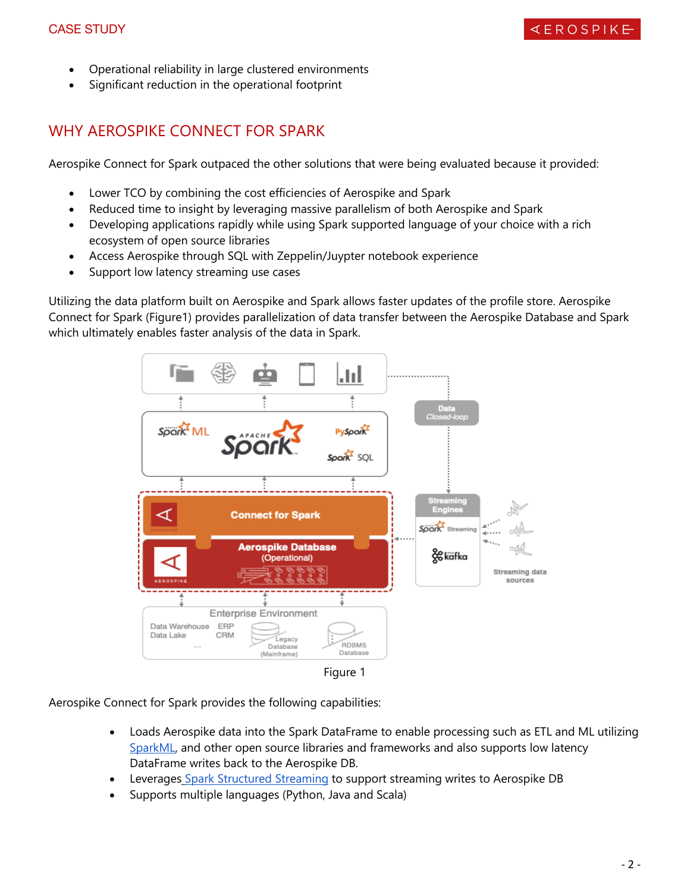- Operational reliability in large clustered environments
- Significant reduction in the operational footprint

#### WHY AEROSPIKE CONNECT FOR SPARK

Aerospike Connect for Spark outpaced the other solutions that were being evaluated because it provided:

- Lower TCO by combining the cost efficiencies of Aerospike and Spark
- Reduced time to insight by leveraging massive parallelism of both Aerospike and Spark
- Developing applications rapidly while using Spark supported language of your choice with a rich ecosystem of open source libraries
- Access Aerospike through SQL with Zeppelin/Juypter notebook experience
- Support low latency streaming use cases

Utilizing the data platform built on Aerospike and Spark allows faster updates of the profile store. Aerospike Connect for Spark (Figure1) provides parallelization of data transfer between the Aerospike Database and Spark which ultimately enables faster analysis of the data in Spark.



Aerospike Connect for Spark provides the following capabilities:

- Loads Aerospike data into the Spark DataFrame to enable processing such as ETL and ML utilizing SparkML, and other open source libraries and frameworks and also supports low latency DataFrame writes back to the Aerospike DB.
- Leverages Spark Structured Streaming to support streaming writes to Aerospike DB
- Supports multiple languages (Python, Java and Scala)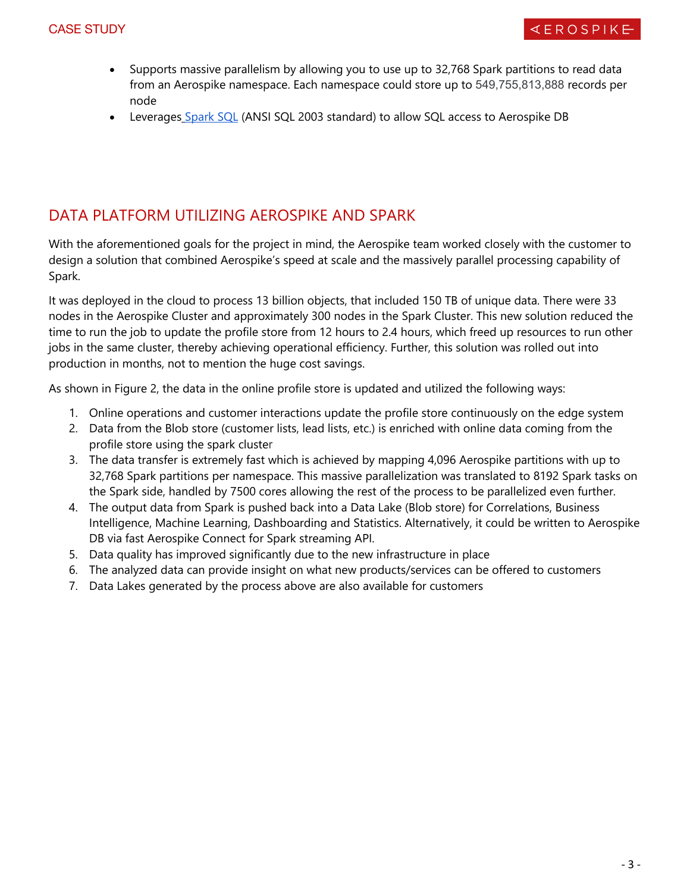- Supports massive parallelism by allowing you to use up to 32,768 Spark partitions to read data from an Aerospike namespace. Each namespace could store up to 549,755,813,888 records per node
- Leverages Spark SQL (ANSI SQL 2003 standard) to allow SQL access to Aerospike DB

#### DATA PLATFORM UTILIZING AEROSPIKE AND SPARK

With the aforementioned goals for the project in mind, the Aerospike team worked closely with the customer to design a solution that combined Aerospike's speed at scale and the massively parallel processing capability of Spark.

It was deployed in the cloud to process 13 billion objects, that included 150 TB of unique data. There were 33 nodes in the Aerospike Cluster and approximately 300 nodes in the Spark Cluster. This new solution reduced the time to run the job to update the profile store from 12 hours to 2.4 hours, which freed up resources to run other jobs in the same cluster, thereby achieving operational efficiency. Further, this solution was rolled out into production in months, not to mention the huge cost savings.

As shown in Figure 2, the data in the online profile store is updated and utilized the following ways:

- 1. Online operations and customer interactions update the profile store continuously on the edge system
- 2. Data from the Blob store (customer lists, lead lists, etc.) is enriched with online data coming from the profile store using the spark cluster
- 3. The data transfer is extremely fast which is achieved by mapping 4,096 Aerospike partitions with up to 32,768 Spark partitions per namespace. This massive parallelization was translated to 8192 Spark tasks on the Spark side, handled by 7500 cores allowing the rest of the process to be parallelized even further.
- 4. The output data from Spark is pushed back into a Data Lake (Blob store) for Correlations, Business Intelligence, Machine Learning, Dashboarding and Statistics. Alternatively, it could be written to Aerospike DB via fast Aerospike Connect for Spark streaming API.
- 5. Data quality has improved significantly due to the new infrastructure in place
- 6. The analyzed data can provide insight on what new products/services can be offered to customers
- 7. Data Lakes generated by the process above are also available for customers